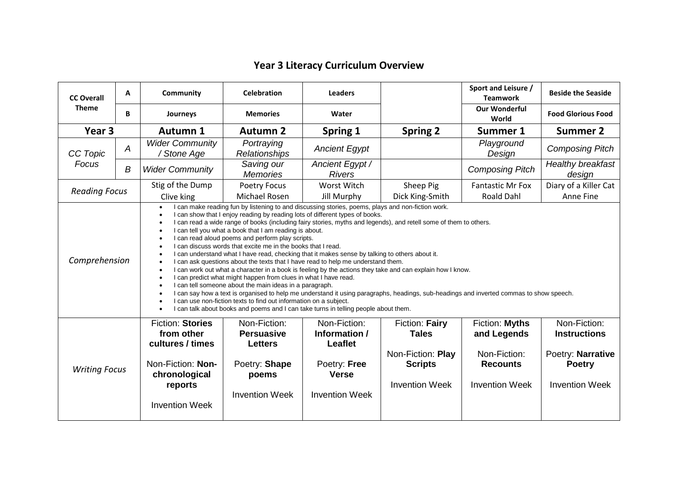## **Year 3 Literacy Curriculum Overview**

| <b>CC Overall</b><br><b>Theme</b> | A                | <b>Community</b>                                                                                                                                                                                                                                                                                                                                                                                                                                                                                                                                                                                                                                                                                                                                                                                                                                                                                                                                                                                                                                                                                                                                                                                                                                       | <b>Celebration</b>                                                                                     | <b>Leaders</b>                                                                                           |                                                                                                | Sport and Leisure /<br><b>Teamwork</b>                                                    | <b>Beside the Seaside</b>                                                                          |
|-----------------------------------|------------------|--------------------------------------------------------------------------------------------------------------------------------------------------------------------------------------------------------------------------------------------------------------------------------------------------------------------------------------------------------------------------------------------------------------------------------------------------------------------------------------------------------------------------------------------------------------------------------------------------------------------------------------------------------------------------------------------------------------------------------------------------------------------------------------------------------------------------------------------------------------------------------------------------------------------------------------------------------------------------------------------------------------------------------------------------------------------------------------------------------------------------------------------------------------------------------------------------------------------------------------------------------|--------------------------------------------------------------------------------------------------------|----------------------------------------------------------------------------------------------------------|------------------------------------------------------------------------------------------------|-------------------------------------------------------------------------------------------|----------------------------------------------------------------------------------------------------|
|                                   | B                | Journeys                                                                                                                                                                                                                                                                                                                                                                                                                                                                                                                                                                                                                                                                                                                                                                                                                                                                                                                                                                                                                                                                                                                                                                                                                                               | <b>Memories</b>                                                                                        | Water                                                                                                    |                                                                                                | <b>Our Wonderful</b><br>World                                                             | <b>Food Glorious Food</b>                                                                          |
| Year <sub>3</sub>                 |                  | <b>Autumn 1</b>                                                                                                                                                                                                                                                                                                                                                                                                                                                                                                                                                                                                                                                                                                                                                                                                                                                                                                                                                                                                                                                                                                                                                                                                                                        | <b>Autumn 2</b>                                                                                        | Spring 1                                                                                                 | <b>Spring 2</b>                                                                                | Summer 1                                                                                  | <b>Summer 2</b>                                                                                    |
| CC Topic<br>Focus                 | A                | <b>Wider Community</b><br>/ Stone Age                                                                                                                                                                                                                                                                                                                                                                                                                                                                                                                                                                                                                                                                                                                                                                                                                                                                                                                                                                                                                                                                                                                                                                                                                  | Portraying<br>Relationships                                                                            | <b>Ancient Egypt</b>                                                                                     |                                                                                                | Playground<br>Design                                                                      | <b>Composing Pitch</b>                                                                             |
|                                   | $\boldsymbol{B}$ | <b>Wider Community</b>                                                                                                                                                                                                                                                                                                                                                                                                                                                                                                                                                                                                                                                                                                                                                                                                                                                                                                                                                                                                                                                                                                                                                                                                                                 | Saving our<br><b>Memories</b>                                                                          | Ancient Egypt /<br><b>Rivers</b>                                                                         |                                                                                                | <b>Composing Pitch</b>                                                                    | Healthy breakfast<br>design                                                                        |
| <b>Reading Focus</b>              |                  | Stig of the Dump                                                                                                                                                                                                                                                                                                                                                                                                                                                                                                                                                                                                                                                                                                                                                                                                                                                                                                                                                                                                                                                                                                                                                                                                                                       | Poetry Focus                                                                                           | Worst Witch                                                                                              | Sheep Pig                                                                                      | <b>Fantastic Mr Fox</b>                                                                   | Diary of a Killer Cat                                                                              |
|                                   |                  | Clive king                                                                                                                                                                                                                                                                                                                                                                                                                                                                                                                                                                                                                                                                                                                                                                                                                                                                                                                                                                                                                                                                                                                                                                                                                                             | Michael Rosen                                                                                          | <b>Jill Murphy</b>                                                                                       | Dick King-Smith                                                                                | <b>Roald Dahl</b>                                                                         | Anne Fine                                                                                          |
| Comprehension                     |                  | I can make reading fun by listening to and discussing stories, poems, plays and non-fiction work.<br>I can show that I enjoy reading by reading lots of different types of books.<br>I can read a wide range of books (including fairy stories, myths and legends), and retell some of them to others.<br>I can tell you what a book that I am reading is about.<br>$\bullet$<br>I can read aloud poems and perform play scripts.<br>$\bullet$<br>I can discuss words that excite me in the books that I read.<br>I can understand what I have read, checking that it makes sense by talking to others about it.<br>I can ask questions about the texts that I have read to help me understand them.<br>I can work out what a character in a book is feeling by the actions they take and can explain how I know.<br>I can predict what might happen from clues in what I have read.<br>I can tell someone about the main ideas in a paragraph.<br>I can say how a text is organised to help me understand it using paragraphs, headings, sub-headings and inverted commas to show speech.<br>I can use non-fiction texts to find out information on a subject.<br>I can talk about books and poems and I can take turns in telling people about them. |                                                                                                        |                                                                                                          |                                                                                                |                                                                                           |                                                                                                    |
| <b>Writing Focus</b>              |                  | <b>Fiction: Stories</b><br>from other<br>cultures / times<br>Non-Fiction: Non-<br>chronological<br>reports<br><b>Invention Week</b>                                                                                                                                                                                                                                                                                                                                                                                                                                                                                                                                                                                                                                                                                                                                                                                                                                                                                                                                                                                                                                                                                                                    | Non-Fiction:<br><b>Persuasive</b><br><b>Letters</b><br>Poetry: Shape<br>poems<br><b>Invention Week</b> | Non-Fiction:<br>Information /<br><b>Leaflet</b><br>Poetry: Free<br><b>Verse</b><br><b>Invention Week</b> | Fiction: Fairy<br><b>Tales</b><br>Non-Fiction: Play<br><b>Scripts</b><br><b>Invention Week</b> | Fiction: Myths<br>and Legends<br>Non-Fiction:<br><b>Recounts</b><br><b>Invention Week</b> | Non-Fiction:<br><b>Instructions</b><br>Poetry: Narrative<br><b>Poetry</b><br><b>Invention Week</b> |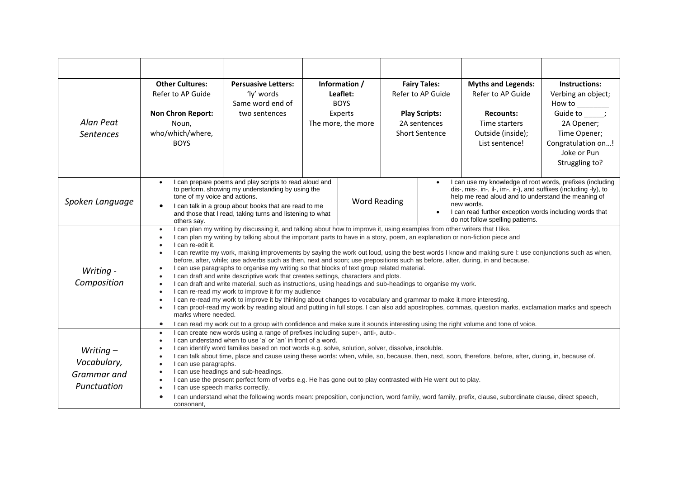|                                                          | <b>Other Cultures:</b><br>Refer to AP Guide                                                                                                                                                                                                                                                                                                                                                                                                                                                                                                                                                                                                                                                                                                                                                                                                                                                                                                                                                                                                                                                                                                                                                                                                                                                                                                                                                                                                                    | <b>Persuasive Letters:</b><br>'ly' words<br>Same word end of | Information /<br>Leaflet:<br><b>BOYS</b> |                               | <b>Fairy Tales:</b><br>Refer to AP Guide                                                                                                                                                                                                                                                                                     |                                                               | <b>Myths and Legends:</b><br>Refer to AP Guide                           | Instructions:<br>Verbing an object;                                                             |
|----------------------------------------------------------|----------------------------------------------------------------------------------------------------------------------------------------------------------------------------------------------------------------------------------------------------------------------------------------------------------------------------------------------------------------------------------------------------------------------------------------------------------------------------------------------------------------------------------------------------------------------------------------------------------------------------------------------------------------------------------------------------------------------------------------------------------------------------------------------------------------------------------------------------------------------------------------------------------------------------------------------------------------------------------------------------------------------------------------------------------------------------------------------------------------------------------------------------------------------------------------------------------------------------------------------------------------------------------------------------------------------------------------------------------------------------------------------------------------------------------------------------------------|--------------------------------------------------------------|------------------------------------------|-------------------------------|------------------------------------------------------------------------------------------------------------------------------------------------------------------------------------------------------------------------------------------------------------------------------------------------------------------------------|---------------------------------------------------------------|--------------------------------------------------------------------------|-------------------------------------------------------------------------------------------------|
| Alan Peat<br><b>Sentences</b>                            | <b>Non Chron Report:</b><br>Noun,<br>who/which/where,<br><b>BOYS</b>                                                                                                                                                                                                                                                                                                                                                                                                                                                                                                                                                                                                                                                                                                                                                                                                                                                                                                                                                                                                                                                                                                                                                                                                                                                                                                                                                                                           | two sentences                                                |                                          | Experts<br>The more, the more |                                                                                                                                                                                                                                                                                                                              | <b>Play Scripts:</b><br>2A sentences<br><b>Short Sentence</b> | <b>Recounts:</b><br>Time starters<br>Outside (inside);<br>List sentence! | Guide to ;<br>2A Opener;<br>Time Opener;<br>Congratulation on!<br>Joke or Pun<br>Struggling to? |
| Spoken Language                                          | I can prepare poems and play scripts to read aloud and<br>to perform, showing my understanding by using the<br>tone of my voice and actions.<br>I can talk in a group about books that are read to me<br>and those that I read, taking turns and listening to what<br>others say.                                                                                                                                                                                                                                                                                                                                                                                                                                                                                                                                                                                                                                                                                                                                                                                                                                                                                                                                                                                                                                                                                                                                                                              |                                                              | <b>Word Reading</b>                      |                               | I can use my knowledge of root words, prefixes (including<br>$\bullet$<br>dis-, mis-, in-, il-, im-, ir-), and suffixes (including -ly), to<br>help me read aloud and to understand the meaning of<br>new words.<br>I can read further exception words including words that<br>$\bullet$<br>do not follow spelling patterns. |                                                               |                                                                          |                                                                                                 |
| Writing -<br>Composition                                 | I can plan my writing by discussing it, and talking about how to improve it, using examples from other writers that I like.<br>$\bullet$<br>I can plan my writing by talking about the important parts to have in a story, poem, an explanation or non-fiction piece and<br>I can re-edit it.<br>$\bullet$<br>I can rewrite my work, making improvements by saying the work out loud, using the best words I know and making sure I: use conjunctions such as when,<br>before, after, while; use adverbs such as then, next and soon; use prepositions such as before, after, during, in and because.<br>I can use paragraphs to organise my writing so that blocks of text group related material.<br>I can draft and write descriptive work that creates settings, characters and plots.<br>I can draft and write material, such as instructions, using headings and sub-headings to organise my work.<br>$\bullet$<br>I can re-read my work to improve it for my audience<br>$\bullet$<br>I can re-read my work to improve it by thinking about changes to vocabulary and grammar to make it more interesting.<br>$\bullet$<br>I can proof-read my work by reading aloud and putting in full stops. I can also add apostrophes, commas, question marks, exclamation marks and speech<br>marks where needed.<br>I can read my work out to a group with confidence and make sure it sounds interesting using the right volume and tone of voice.<br>$\bullet$ |                                                              |                                          |                               |                                                                                                                                                                                                                                                                                                                              |                                                               |                                                                          |                                                                                                 |
| Writing $-$<br>Vocabulary,<br>Grammar and<br>Punctuation | I can create new words using a range of prefixes including super-, anti-, auto-.<br>$\bullet$<br>I can understand when to use 'a' or 'an' in front of a word.<br>I can identify word families based on root words e.g. solve, solution, solver, dissolve, insoluble.<br>I can talk about time, place and cause using these words: when, while, so, because, then, next, soon, therefore, before, after, during, in, because of.<br>I can use paragraphs.<br>I can use headings and sub-headings.<br>I can use the present perfect form of verbs e.g. He has gone out to play contrasted with He went out to play.<br>$\bullet$<br>I can use speech marks correctly.<br>I can understand what the following words mean: preposition, conjunction, word family, word family, prefix, clause, subordinate clause, direct speech,<br>consonant,                                                                                                                                                                                                                                                                                                                                                                                                                                                                                                                                                                                                                    |                                                              |                                          |                               |                                                                                                                                                                                                                                                                                                                              |                                                               |                                                                          |                                                                                                 |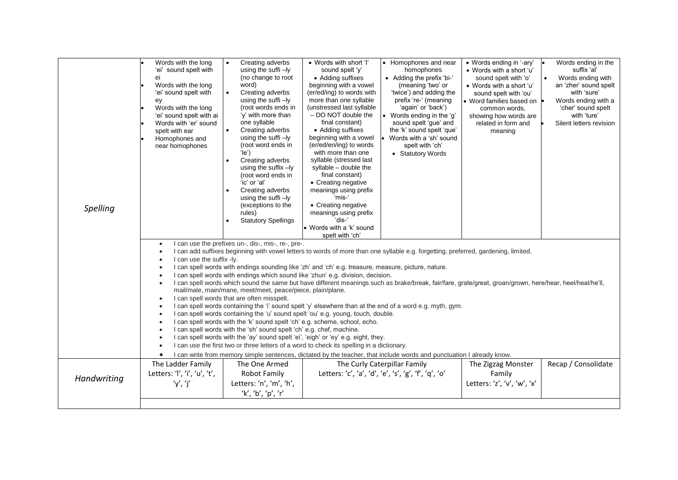| Spelling    | Words with the long<br>'ei' sound spelt with<br>ei<br>Words with the long<br>'ei' sound spelt with<br>ey<br>Words with the long<br>'ei' sound spelt with ai<br>Words with 'er' sound<br>spelt with ear<br>Homophones and<br>near homophones                                                                                                                                                                                                                                                                                                                                                                                                                                                                                                                                                                                                                                                                                                                                                                                                                                                                                                                                                                                                                                                                                                                                                                                                                                                                                        | Creating adverbs<br>$\bullet$<br>using the suffi-ly<br>(no change to root<br>word)<br>Creating adverbs<br>$\bullet$<br>using the suffi-ly<br>(root words ends in<br>'y' with more than<br>one syllable<br>Creating adverbs<br>$\bullet$<br>using the suffi $-ly$<br>(root word ends in<br>$'$ le')<br>Creating adverbs<br>$\bullet$<br>using the suffix $-ly$<br>(root word ends in<br>'ic' or 'al'<br>Creating adverbs<br>using the suffi-ly<br>(exceptions to the<br>rules)<br><b>Statutory Spellings</b> | • Words with short 'I'<br>sound spelt 'y'<br>• Adding suffixes<br>beginning with a vowel<br>(er/ed/ing) to words with<br>more than one syllable<br>(unstressed last syllable<br>- DO NOT double the<br>final constant)<br>• Adding suffixes<br>beginning with a vowel<br>(er/ed/en/ing) to words<br>with more than one<br>syllable (stressed last<br>syllable - double the<br>final constant)<br>• Creating negative<br>meanings using prefix<br>'mis-'<br>• Creating negative<br>meanings using prefix<br>'dis-'<br>• Words with a 'k' sound<br>spelt with 'ch' | • Homophones and near<br>homophones<br>• Adding the prefix 'bi-'<br>(meaning 'two' or<br>'twice') and adding the<br>prefix 're-' (meaning<br>'again' or 'back')<br>• Words ending in the 'g'<br>sound spelt 'gue' and<br>the 'k' sound spelt 'que'<br>Words with a 'sh' sound<br>spelt with 'ch'<br>• Statutory Words | • Words ending in '-ary'<br>• Words with a short 'u'<br>sound spelt with 'o'<br>• Words with a short 'u'<br>sound spelt with 'ou'<br>• Word families based on<br>common words.<br>showing how words are<br>related in form and<br>meaning | Words ending in the<br>suffix 'al'<br>Words ending with<br>an 'zher' sound spelt<br>with 'sure'<br>Words ending with a<br>'cher' sound spelt<br>with 'ture'<br>Silent letters revision |  |  |
|-------------|------------------------------------------------------------------------------------------------------------------------------------------------------------------------------------------------------------------------------------------------------------------------------------------------------------------------------------------------------------------------------------------------------------------------------------------------------------------------------------------------------------------------------------------------------------------------------------------------------------------------------------------------------------------------------------------------------------------------------------------------------------------------------------------------------------------------------------------------------------------------------------------------------------------------------------------------------------------------------------------------------------------------------------------------------------------------------------------------------------------------------------------------------------------------------------------------------------------------------------------------------------------------------------------------------------------------------------------------------------------------------------------------------------------------------------------------------------------------------------------------------------------------------------|-------------------------------------------------------------------------------------------------------------------------------------------------------------------------------------------------------------------------------------------------------------------------------------------------------------------------------------------------------------------------------------------------------------------------------------------------------------------------------------------------------------|------------------------------------------------------------------------------------------------------------------------------------------------------------------------------------------------------------------------------------------------------------------------------------------------------------------------------------------------------------------------------------------------------------------------------------------------------------------------------------------------------------------------------------------------------------------|-----------------------------------------------------------------------------------------------------------------------------------------------------------------------------------------------------------------------------------------------------------------------------------------------------------------------|-------------------------------------------------------------------------------------------------------------------------------------------------------------------------------------------------------------------------------------------|----------------------------------------------------------------------------------------------------------------------------------------------------------------------------------------|--|--|
|             | I can use the prefixes un-, dis-, mis-, re-, pre-.<br>$\bullet$<br>I can add suffixes beginning with vowel letters to words of more than one syllable e.g. forgetting, preferred, gardening, limited.<br>$\bullet$<br>I can use the suffix -ly.<br>$\bullet$<br>I can spell words with endings sounding like 'zh' and 'ch' e.g. treasure, measure, picture, nature.<br>$\bullet$<br>I can spell words with endings which sound like 'zhun' e.g. division, decision.<br>$\bullet$<br>I can spell words which sound the same but have different meanings such as brake/break, fair/fare, grate/great, groan/grown, here/hear, heel/heal/he'll,<br>$\bullet$<br>mail/male, main/mane, meet/meet, peace/piece, plain/plane.<br>I can spell words that are often misspelt.<br>$\bullet$<br>I can spell words containing the 'i' sound spelt 'y' elsewhere than at the end of a word e.g. myth, gym.<br>$\bullet$<br>I can spell words containing the 'u' sound spelt 'ou' e.g. young, touch, double.<br>$\bullet$<br>I can spell words with the 'k' sound spelt 'ch' e.g. scheme, school, echo.<br>$\bullet$<br>I can spell words with the 'sh' sound spelt 'ch' e.g. chef, machine.<br>$\bullet$<br>I can spell words with the 'ay' sound spelt 'ei', 'eigh' or 'ey' e.g. eight, they.<br>$\bullet$<br>I can use the first two or three letters of a word to check its spelling in a dictionary.<br>$\bullet$<br>I can write from memory simple sentences, dictated by the teacher, that include words and punctuation I already know. |                                                                                                                                                                                                                                                                                                                                                                                                                                                                                                             |                                                                                                                                                                                                                                                                                                                                                                                                                                                                                                                                                                  |                                                                                                                                                                                                                                                                                                                       |                                                                                                                                                                                                                                           |                                                                                                                                                                                        |  |  |
| Handwriting | The Ladder Family<br>Letters: 'I', 'i', 'u', 't',<br>'y', 'j'                                                                                                                                                                                                                                                                                                                                                                                                                                                                                                                                                                                                                                                                                                                                                                                                                                                                                                                                                                                                                                                                                                                                                                                                                                                                                                                                                                                                                                                                      | The One Armed<br>Robot Family<br>Letters: 'n', 'm', 'h',<br>'k', 'b', 'p', 'r'                                                                                                                                                                                                                                                                                                                                                                                                                              |                                                                                                                                                                                                                                                                                                                                                                                                                                                                                                                                                                  | The Curly Caterpillar Family<br>Letters: 'c', 'a', 'd', 'e', 's', 'g', 'f', 'q', 'o'                                                                                                                                                                                                                                  | The Zigzag Monster<br>Family<br>Letters: 'z', 'v', 'w', 'x'                                                                                                                                                                               | Recap / Consolidate                                                                                                                                                                    |  |  |